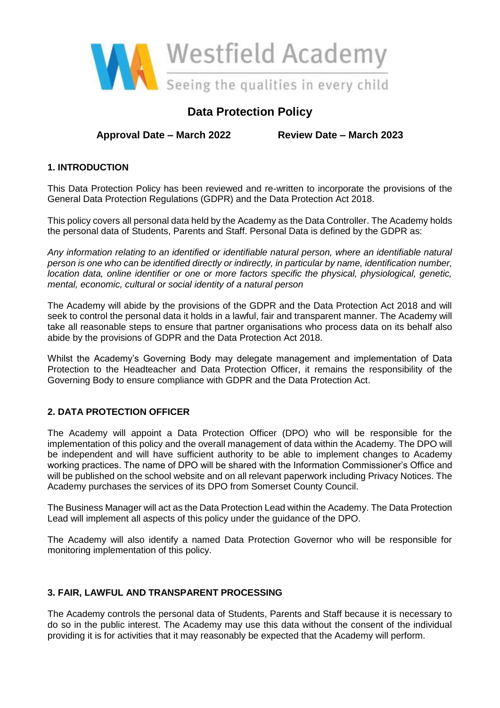

# **Data Protection Policy**

**Approval Date – March 2022 Review Date – March 2023**

# **1. INTRODUCTION**

This Data Protection Policy has been reviewed and re-written to incorporate the provisions of the General Data Protection Regulations (GDPR) and the Data Protection Act 2018.

This policy covers all personal data held by the Academy as the Data Controller. The Academy holds the personal data of Students, Parents and Staff. Personal Data is defined by the GDPR as:

*Any information relating to an identified or identifiable natural person, where an identifiable natural person is one who can be identified directly or indirectly, in particular by name, identification number, location data, online identifier or one or more factors specific the physical, physiological, genetic, mental, economic, cultural or social identity of a natural person* 

The Academy will abide by the provisions of the GDPR and the Data Protection Act 2018 and will seek to control the personal data it holds in a lawful, fair and transparent manner. The Academy will take all reasonable steps to ensure that partner organisations who process data on its behalf also abide by the provisions of GDPR and the Data Protection Act 2018.

Whilst the Academy's Governing Body may delegate management and implementation of Data Protection to the Headteacher and Data Protection Officer, it remains the responsibility of the Governing Body to ensure compliance with GDPR and the Data Protection Act.

# **2. DATA PROTECTION OFFICER**

The Academy will appoint a Data Protection Officer (DPO) who will be responsible for the implementation of this policy and the overall management of data within the Academy. The DPO will be independent and will have sufficient authority to be able to implement changes to Academy working practices. The name of DPO will be shared with the Information Commissioner's Office and will be published on the school website and on all relevant paperwork including Privacy Notices. The Academy purchases the services of its DPO from Somerset County Council.

The Business Manager will act as the Data Protection Lead within the Academy. The Data Protection Lead will implement all aspects of this policy under the guidance of the DPO.

The Academy will also identify a named Data Protection Governor who will be responsible for monitoring implementation of this policy.

## **3. FAIR, LAWFUL AND TRANSPARENT PROCESSING**

The Academy controls the personal data of Students, Parents and Staff because it is necessary to do so in the public interest. The Academy may use this data without the consent of the individual providing it is for activities that it may reasonably be expected that the Academy will perform.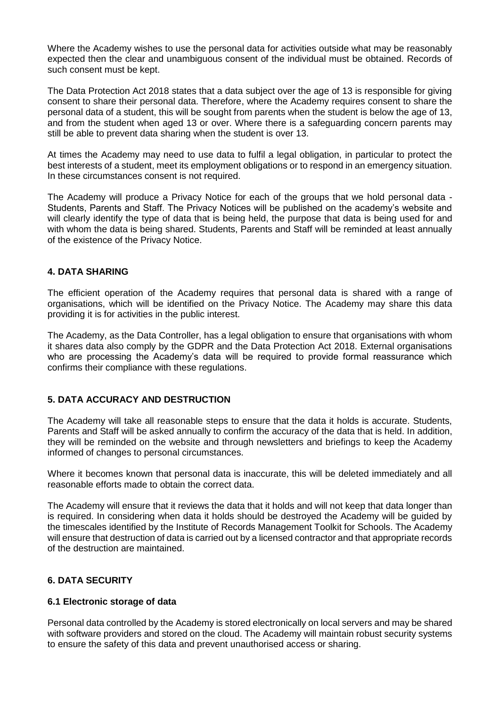Where the Academy wishes to use the personal data for activities outside what may be reasonably expected then the clear and unambiguous consent of the individual must be obtained. Records of such consent must be kept.

The Data Protection Act 2018 states that a data subject over the age of 13 is responsible for giving consent to share their personal data. Therefore, where the Academy requires consent to share the personal data of a student, this will be sought from parents when the student is below the age of 13, and from the student when aged 13 or over. Where there is a safeguarding concern parents may still be able to prevent data sharing when the student is over 13.

At times the Academy may need to use data to fulfil a legal obligation, in particular to protect the best interests of a student, meet its employment obligations or to respond in an emergency situation. In these circumstances consent is not required.

The Academy will produce a Privacy Notice for each of the groups that we hold personal data - Students, Parents and Staff. The Privacy Notices will be published on the academy's website and will clearly identify the type of data that is being held, the purpose that data is being used for and with whom the data is being shared. Students, Parents and Staff will be reminded at least annually of the existence of the Privacy Notice.

# **4. DATA SHARING**

The efficient operation of the Academy requires that personal data is shared with a range of organisations, which will be identified on the Privacy Notice. The Academy may share this data providing it is for activities in the public interest.

The Academy, as the Data Controller, has a legal obligation to ensure that organisations with whom it shares data also comply by the GDPR and the Data Protection Act 2018. External organisations who are processing the Academy's data will be required to provide formal reassurance which confirms their compliance with these regulations.

## **5. DATA ACCURACY AND DESTRUCTION**

The Academy will take all reasonable steps to ensure that the data it holds is accurate. Students, Parents and Staff will be asked annually to confirm the accuracy of the data that is held. In addition, they will be reminded on the website and through newsletters and briefings to keep the Academy informed of changes to personal circumstances.

Where it becomes known that personal data is inaccurate, this will be deleted immediately and all reasonable efforts made to obtain the correct data.

The Academy will ensure that it reviews the data that it holds and will not keep that data longer than is required. In considering when data it holds should be destroyed the Academy will be guided by the timescales identified by the Institute of Records Management Toolkit for Schools. The Academy will ensure that destruction of data is carried out by a licensed contractor and that appropriate records of the destruction are maintained.

## **6. DATA SECURITY**

## **6.1 Electronic storage of data**

Personal data controlled by the Academy is stored electronically on local servers and may be shared with software providers and stored on the cloud. The Academy will maintain robust security systems to ensure the safety of this data and prevent unauthorised access or sharing.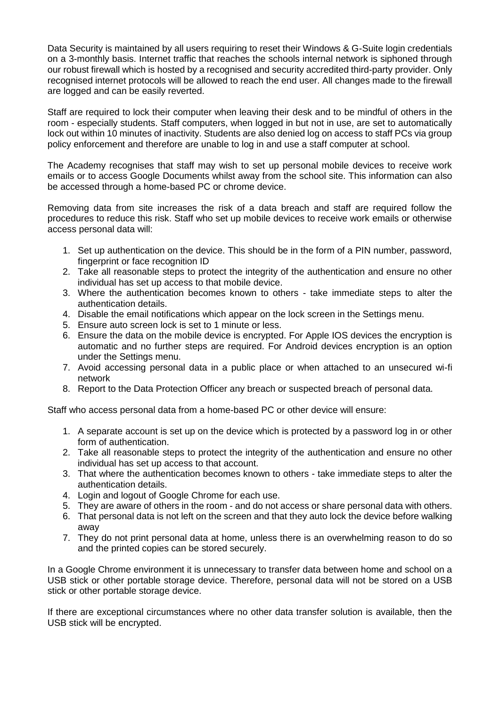Data Security is maintained by all users requiring to reset their Windows & G-Suite login credentials on a 3-monthly basis. Internet traffic that reaches the schools internal network is siphoned through our robust firewall which is hosted by a recognised and security accredited third-party provider. Only recognised internet protocols will be allowed to reach the end user. All changes made to the firewall are logged and can be easily reverted.

Staff are required to lock their computer when leaving their desk and to be mindful of others in the room - especially students. Staff computers, when logged in but not in use, are set to automatically lock out within 10 minutes of inactivity. Students are also denied log on access to staff PCs via group policy enforcement and therefore are unable to log in and use a staff computer at school.

The Academy recognises that staff may wish to set up personal mobile devices to receive work emails or to access Google Documents whilst away from the school site. This information can also be accessed through a home-based PC or chrome device.

Removing data from site increases the risk of a data breach and staff are required follow the procedures to reduce this risk. Staff who set up mobile devices to receive work emails or otherwise access personal data will:

- 1. Set up authentication on the device. This should be in the form of a PIN number, password, fingerprint or face recognition ID
- 2. Take all reasonable steps to protect the integrity of the authentication and ensure no other individual has set up access to that mobile device.
- 3. Where the authentication becomes known to others take immediate steps to alter the authentication details.
- 4. Disable the email notifications which appear on the lock screen in the Settings menu.
- 5. Ensure auto screen lock is set to 1 minute or less.
- 6. Ensure the data on the mobile device is encrypted. For Apple IOS devices the encryption is automatic and no further steps are required. For Android devices encryption is an option under the Settings menu.
- 7. Avoid accessing personal data in a public place or when attached to an unsecured wi-fi network
- 8. Report to the Data Protection Officer any breach or suspected breach of personal data.

Staff who access personal data from a home-based PC or other device will ensure:

- 1. A separate account is set up on the device which is protected by a password log in or other form of authentication.
- 2. Take all reasonable steps to protect the integrity of the authentication and ensure no other individual has set up access to that account.
- 3. That where the authentication becomes known to others take immediate steps to alter the authentication details.
- 4. Login and logout of Google Chrome for each use.
- 5. They are aware of others in the room and do not access or share personal data with others.
- 6. That personal data is not left on the screen and that they auto lock the device before walking away
- 7. They do not print personal data at home, unless there is an overwhelming reason to do so and the printed copies can be stored securely.

In a Google Chrome environment it is unnecessary to transfer data between home and school on a USB stick or other portable storage device. Therefore, personal data will not be stored on a USB stick or other portable storage device.

If there are exceptional circumstances where no other data transfer solution is available, then the USB stick will be encrypted.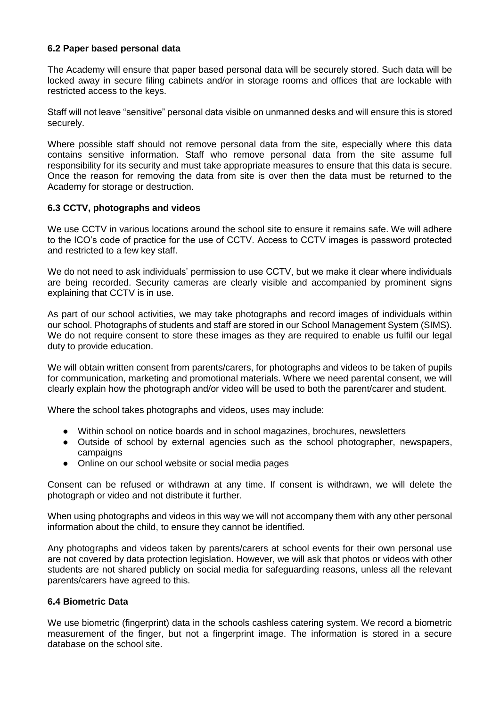#### **6.2 Paper based personal data**

The Academy will ensure that paper based personal data will be securely stored. Such data will be locked away in secure filing cabinets and/or in storage rooms and offices that are lockable with restricted access to the keys.

Staff will not leave "sensitive" personal data visible on unmanned desks and will ensure this is stored securely.

Where possible staff should not remove personal data from the site, especially where this data contains sensitive information. Staff who remove personal data from the site assume full responsibility for its security and must take appropriate measures to ensure that this data is secure. Once the reason for removing the data from site is over then the data must be returned to the Academy for storage or destruction.

#### **6.3 CCTV, photographs and videos**

We use CCTV in various locations around the school site to ensure it remains safe. We will adhere to the ICO's code of practice for the use of CCTV. Access to CCTV images is password protected and restricted to a few key staff.

We do not need to ask individuals' permission to use CCTV, but we make it clear where individuals are being recorded. Security cameras are clearly visible and accompanied by prominent signs explaining that CCTV is in use.

As part of our school activities, we may take photographs and record images of individuals within our school. Photographs of students and staff are stored in our School Management System (SIMS). We do not require consent to store these images as they are required to enable us fulfil our legal duty to provide education.

We will obtain written consent from parents/carers, for photographs and videos to be taken of pupils for communication, marketing and promotional materials. Where we need parental consent, we will clearly explain how the photograph and/or video will be used to both the parent/carer and student.

Where the school takes photographs and videos, uses may include:

- Within school on notice boards and in school magazines, brochures, newsletters
- Outside of school by external agencies such as the school photographer, newspapers, campaigns
- Online on our school website or social media pages

Consent can be refused or withdrawn at any time. If consent is withdrawn, we will delete the photograph or video and not distribute it further.

When using photographs and videos in this way we will not accompany them with any other personal information about the child, to ensure they cannot be identified.

Any photographs and videos taken by parents/carers at school events for their own personal use are not covered by data protection legislation. However, we will ask that photos or videos with other students are not shared publicly on social media for safeguarding reasons, unless all the relevant parents/carers have agreed to this.

## **6.4 Biometric Data**

We use biometric (fingerprint) data in the schools cashless catering system. We record a biometric measurement of the finger, but not a fingerprint image. The information is stored in a secure database on the school site.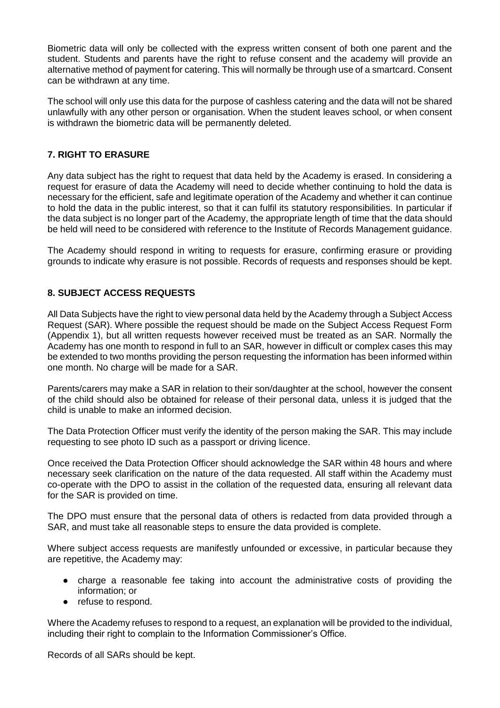Biometric data will only be collected with the express written consent of both one parent and the student. Students and parents have the right to refuse consent and the academy will provide an alternative method of payment for catering. This will normally be through use of a smartcard. Consent can be withdrawn at any time.

The school will only use this data for the purpose of cashless catering and the data will not be shared unlawfully with any other person or organisation. When the student leaves school, or when consent is withdrawn the biometric data will be permanently deleted.

# **7. RIGHT TO ERASURE**

Any data subject has the right to request that data held by the Academy is erased. In considering a request for erasure of data the Academy will need to decide whether continuing to hold the data is necessary for the efficient, safe and legitimate operation of the Academy and whether it can continue to hold the data in the public interest, so that it can fulfil its statutory responsibilities. In particular if the data subject is no longer part of the Academy, the appropriate length of time that the data should be held will need to be considered with reference to the Institute of Records Management guidance.

The Academy should respond in writing to requests for erasure, confirming erasure or providing grounds to indicate why erasure is not possible. Records of requests and responses should be kept.

# **8. SUBJECT ACCESS REQUESTS**

All Data Subjects have the right to view personal data held by the Academy through a Subject Access Request (SAR). Where possible the request should be made on the Subject Access Request Form (Appendix 1), but all written requests however received must be treated as an SAR. Normally the Academy has one month to respond in full to an SAR, however in difficult or complex cases this may be extended to two months providing the person requesting the information has been informed within one month. No charge will be made for a SAR.

Parents/carers may make a SAR in relation to their son/daughter at the school, however the consent of the child should also be obtained for release of their personal data, unless it is judged that the child is unable to make an informed decision.

The Data Protection Officer must verify the identity of the person making the SAR. This may include requesting to see photo ID such as a passport or driving licence.

Once received the Data Protection Officer should acknowledge the SAR within 48 hours and where necessary seek clarification on the nature of the data requested. All staff within the Academy must co-operate with the DPO to assist in the collation of the requested data, ensuring all relevant data for the SAR is provided on time.

The DPO must ensure that the personal data of others is redacted from data provided through a SAR, and must take all reasonable steps to ensure the data provided is complete.

Where subject access requests are manifestly unfounded or excessive, in particular because they are repetitive, the Academy may:

- charge a reasonable fee taking into account the administrative costs of providing the information; or
- refuse to respond.

Where the Academy refuses to respond to a request, an explanation will be provided to the individual, including their right to complain to the Information Commissioner's Office.

Records of all SARs should be kept.